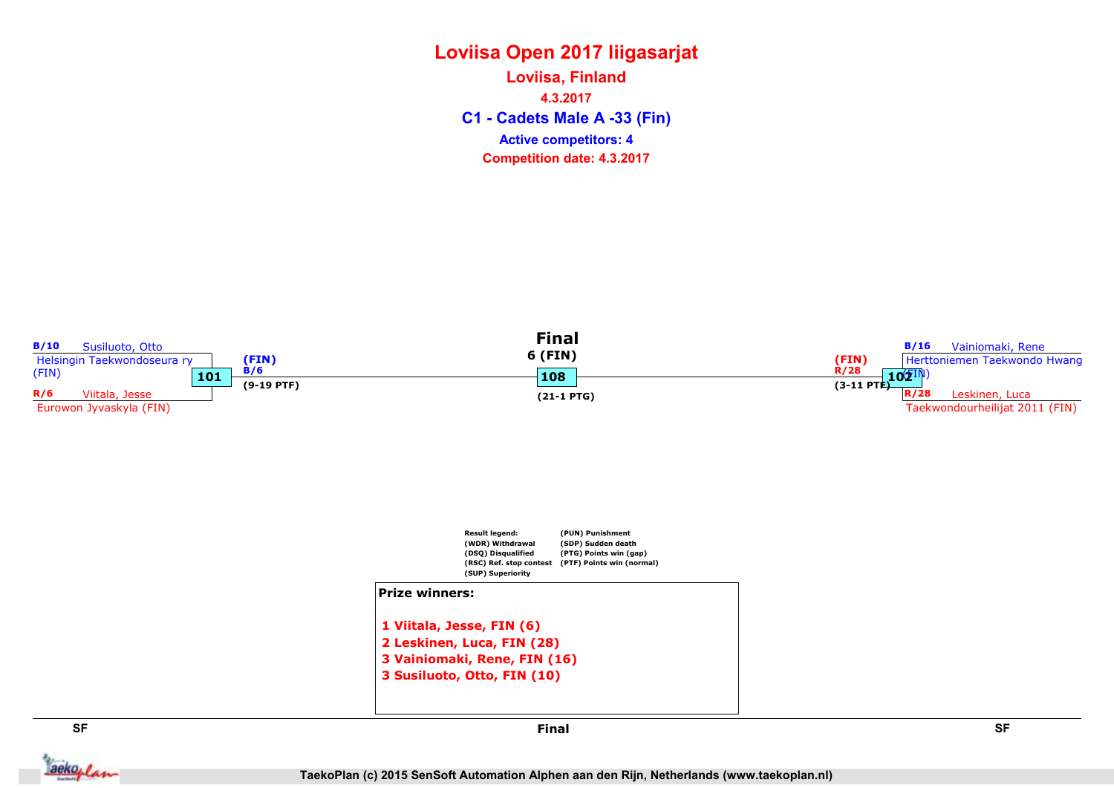C1 - Cadets Male A -33 (Fin) Loviisa, Finland 4.3.2017 Competition date: 4.3.2017 Active competitors: 4



3 Vainiomaki, Rene, FIN (16) 3 Susiluoto, Otto, FIN (10)

aekoplan



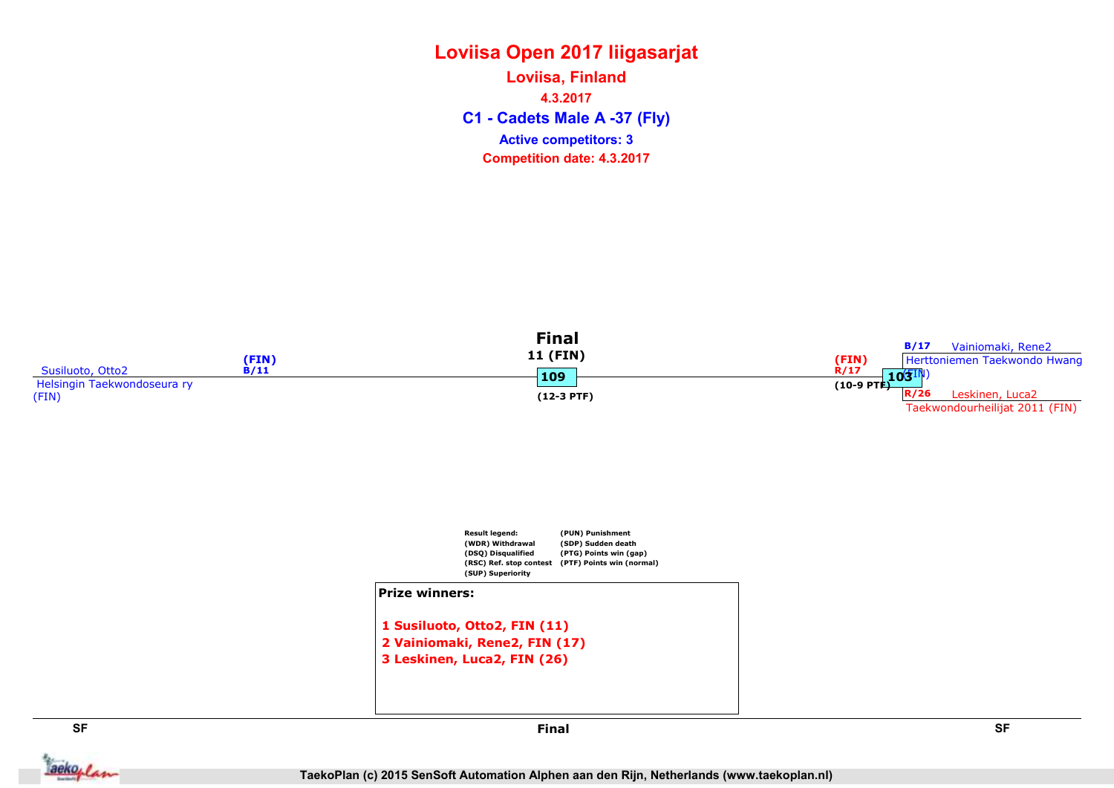C1 - Cadets Male A -37 (Fly) Loviisa, Finland 4.3.2017 Competition date: 4.3.2017 Active competitors: 3





1 Susiluoto, Otto2, FIN (11) 2 Vainiomaki, Rene2, FIN (17) 3 Leskinen, Luca2, FIN (26)



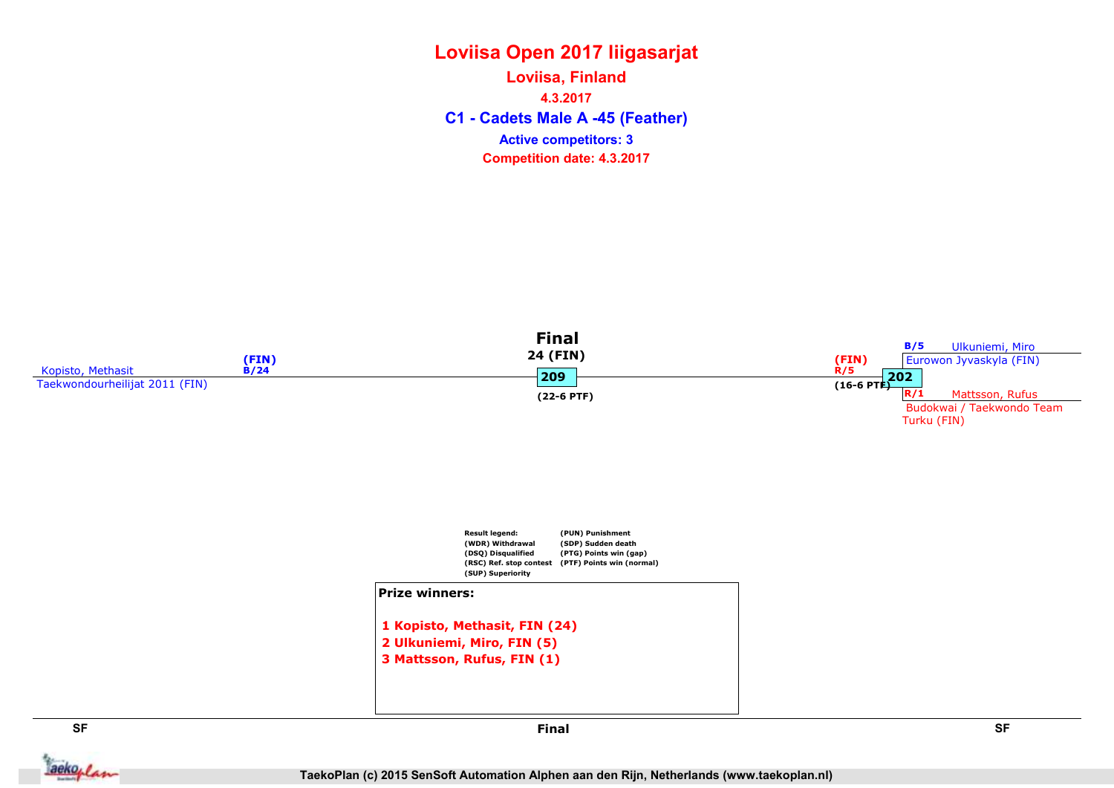C1 - Cadets Male A -45 (Feather) Loviisa, Finland 4.3.2017 Competition date: 4.3.2017 Active competitors: 3



TaekoPlan (c) 2015 SenSoft Automation Alphen aan den Rijn, Netherlands (www.taekoplan.nl)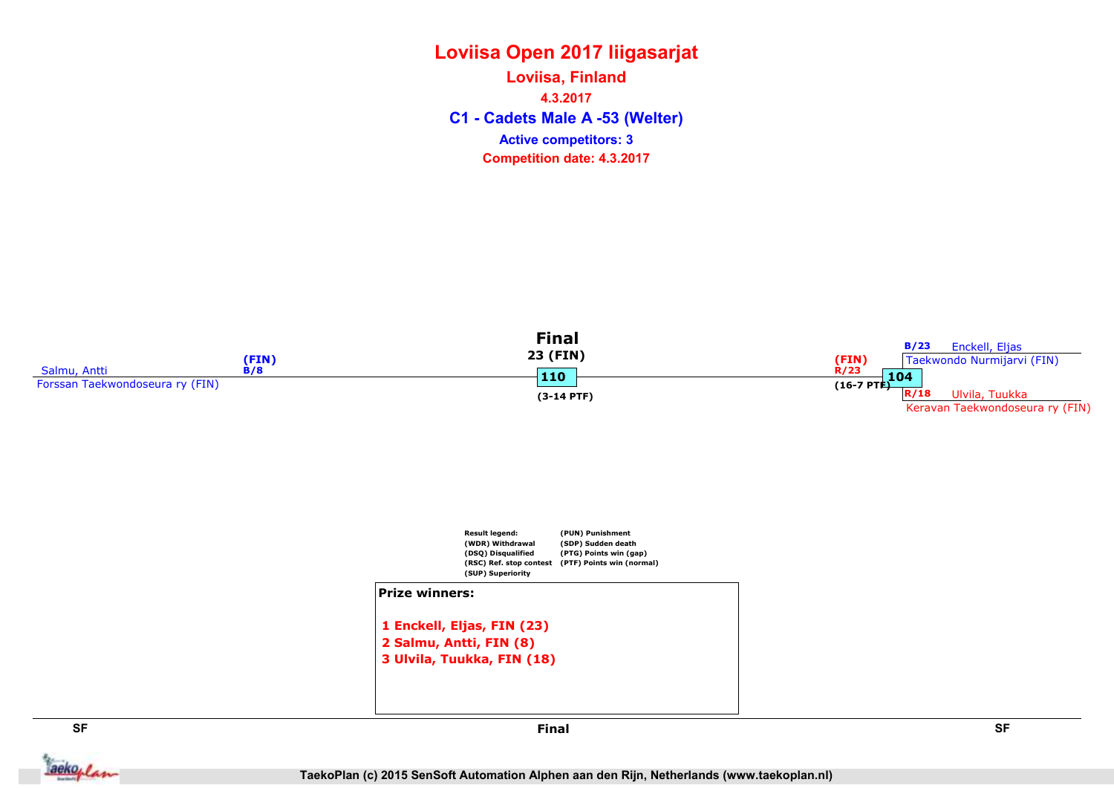### Loviisa Open 2017 liigasarjat C1 - Cadets Male A -53 (Welter) Loviisa, Finland 4.3.2017 Competition date: 4.3.2017 Active competitors: 3







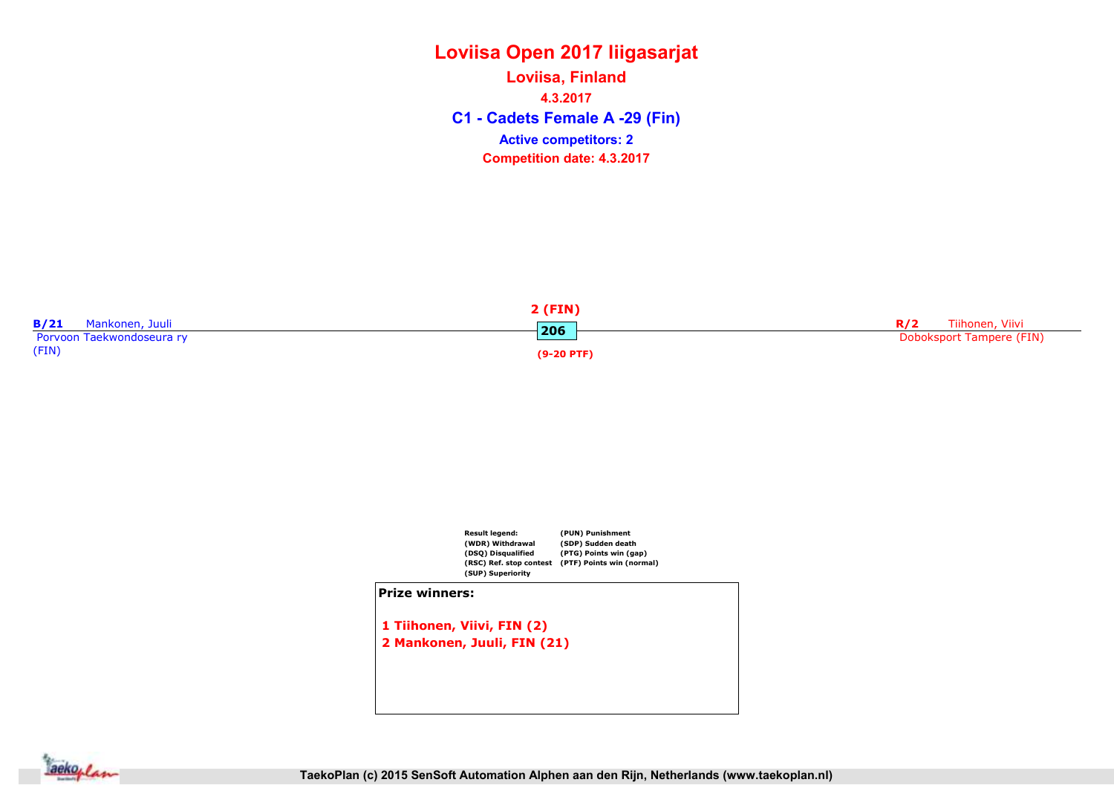C1 - Cadets Female A -29 (Fin) Loviisa, Finland 4.3.2017 Competition date: 4.3.2017 Active competitors: 2





2 Mankonen, Juuli, FIN (21)

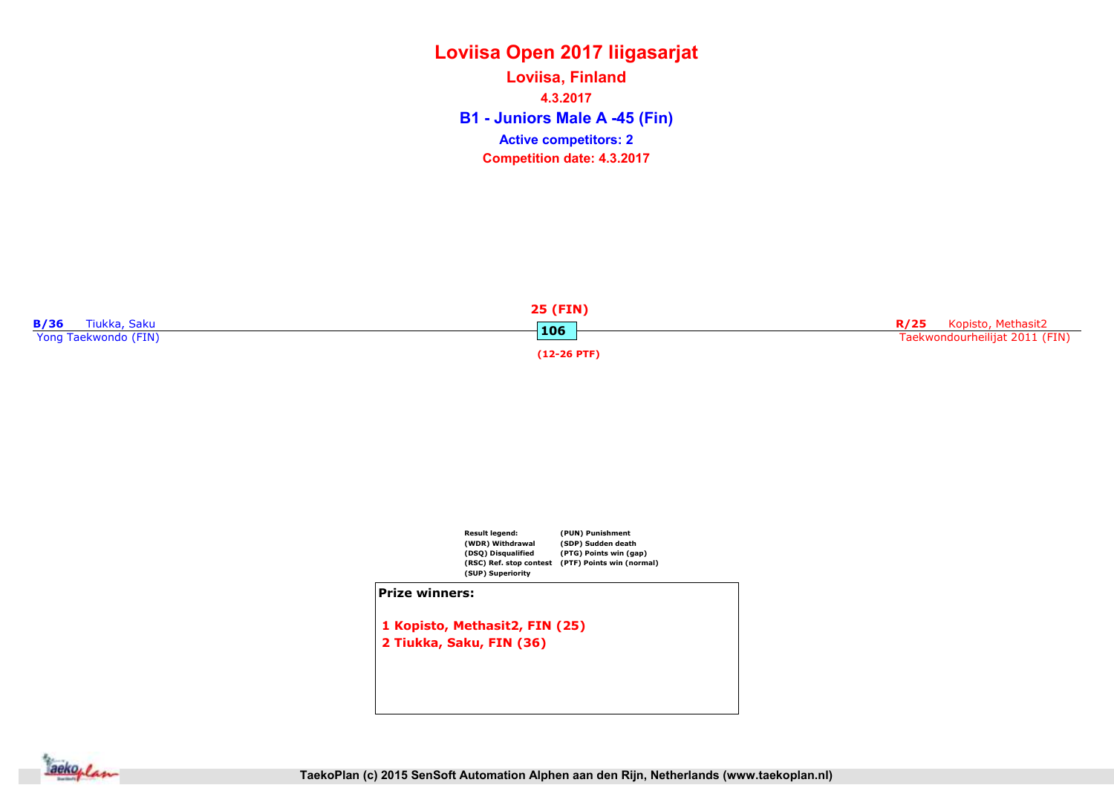B1 - Juniors Male A -45 (Fin) Loviisa, Finland 4.3.2017 Competition date: 4.3.2017 Active competitors: 2





1 Kopisto, Methasit2, FIN (25) 2 Tiukka, Saku, FIN (36)

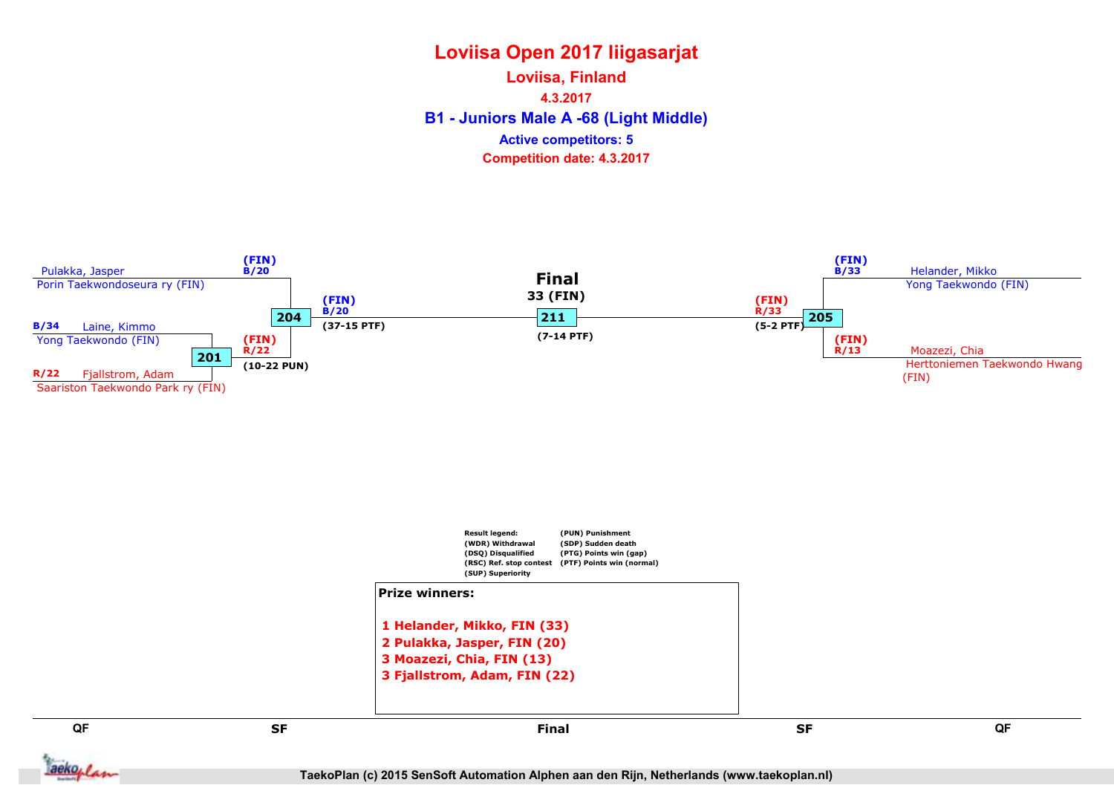B1 - Juniors Male A -68 (Light Middle) Loviisa, Finland 4.3.2017 Competition date: 4.3.2017 Active competitors: 5



1 Helander, Mikko, FIN (33) 2 Pulakka, Jasper, FIN (20) 3 Moazezi, Chia, FIN (13) 3 Fjallstrom, Adam, FIN (22)

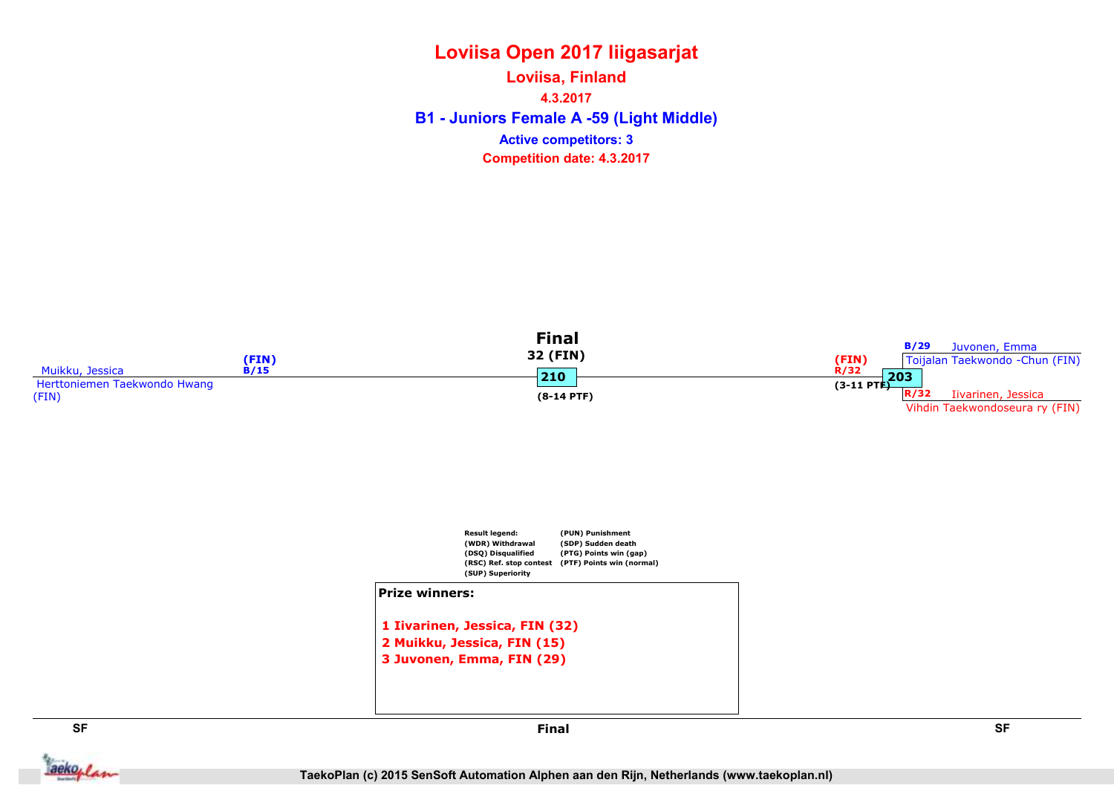B1 - Juniors Female A -59 (Light Middle) Loviisa, Finland 4.3.2017 Competition date: 4.3.2017 Active competitors: 3





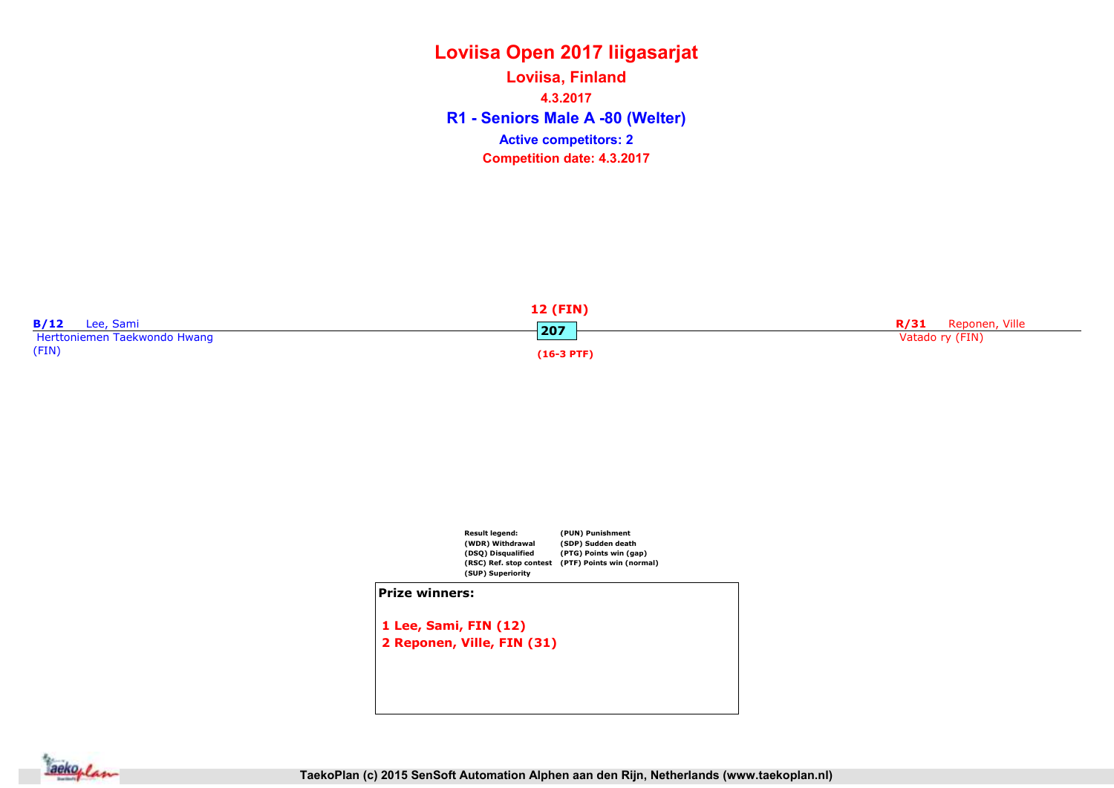R1 - Seniors Male A -80 (Welter) Loviisa, Finland 4.3.2017 Competition date: 4.3.2017 Active competitors: 2





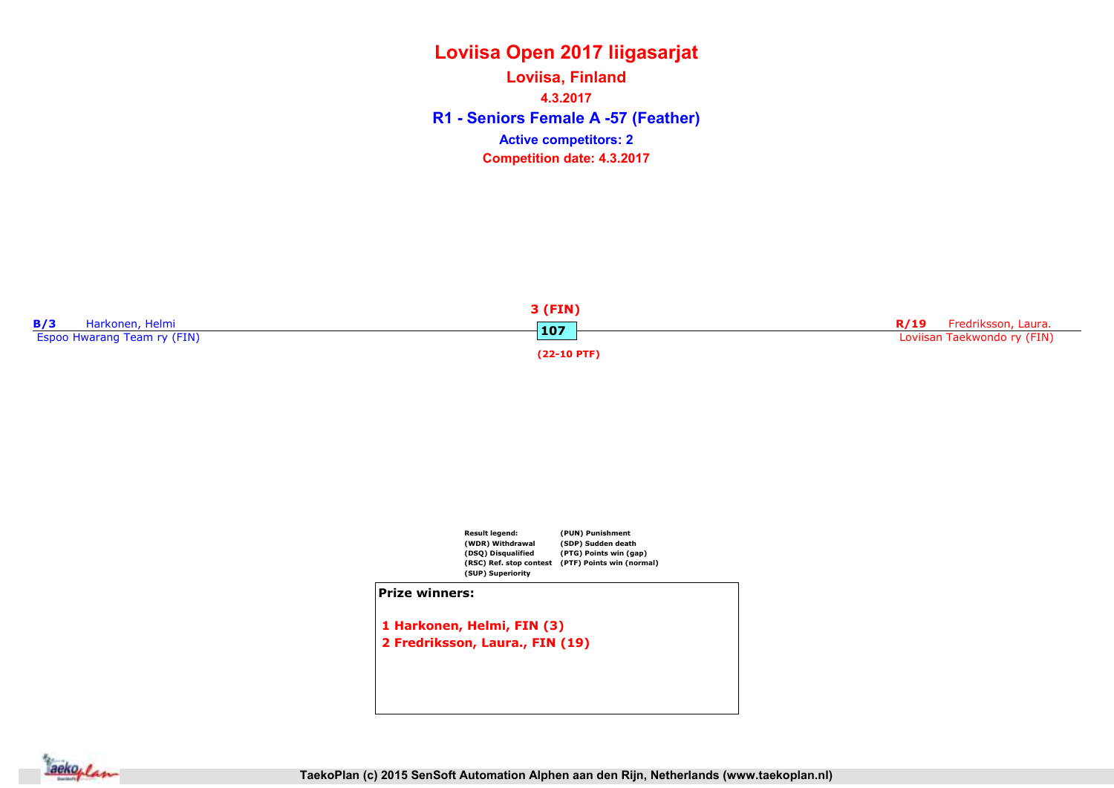R1 - Seniors Female A -57 (Feather) Loviisa, Finland 4.3.2017 Competition date: 4.3.2017 Active competitors: 2





1 Harkonen, Helmi, FIN (3) 2 Fredriksson, Laura., FIN (19)

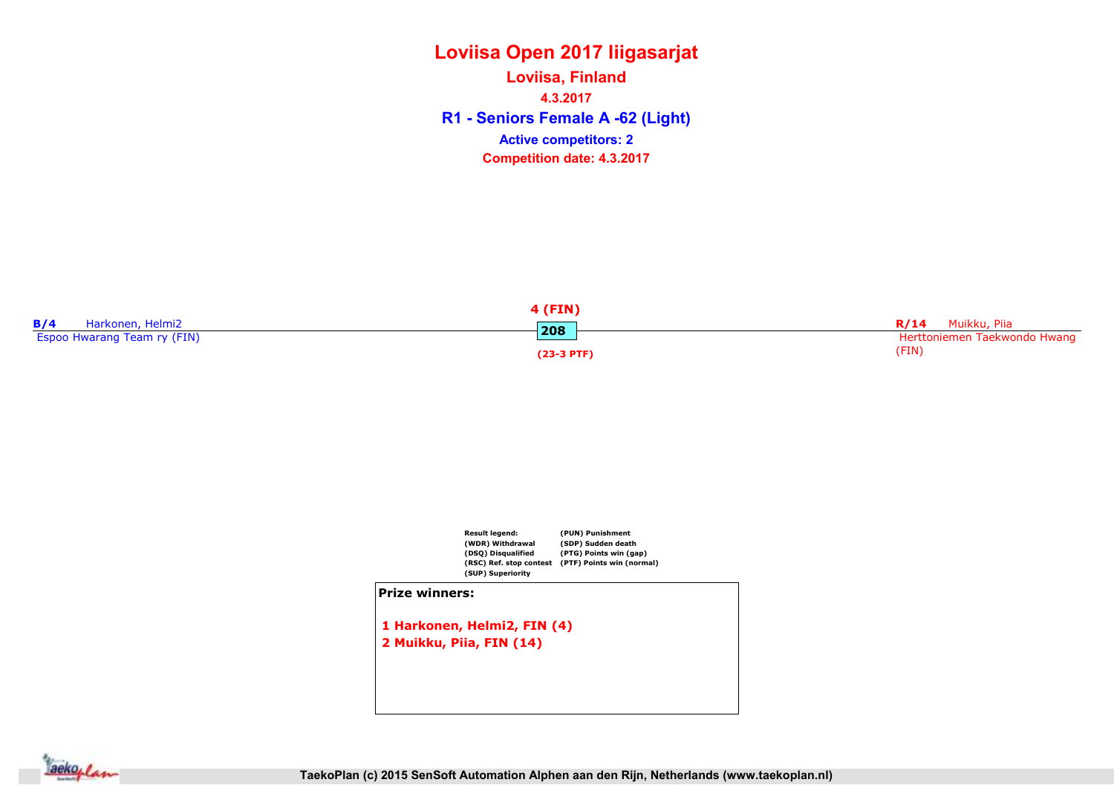R1 - Seniors Female A -62 (Light) Loviisa, Finland 4.3.2017 Competition date: 4.3.2017 Active competitors: 2





1 Harkonen, Helmi2, FIN (4) 2 Muikku, Piia, FIN (14)